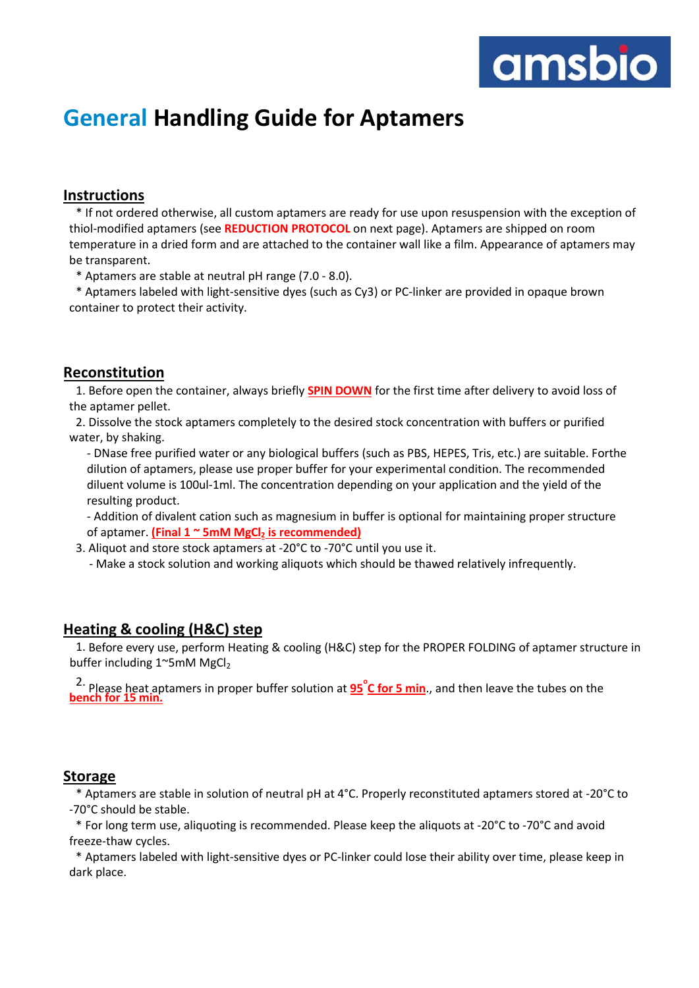

# **General Handling Guide for Aptamers**

#### **Instructions**

\* If not ordered otherwise, all custom aptamers are ready for use upon resuspension with the exception of thiol-modified aptamers (see **REDUCTION PROTOCOL** on next page). Aptamers are shipped on room temperature in a dried form and are attached to the container wall like a film. Appearance of aptamers may be transparent.

\* Aptamers are stable at neutral pH range (7.0 - 8.0).

\* Aptamers labeled with light-sensitive dyes (such as Cy3) or PC-linker are provided in opaque brown container to protect their activity.

#### **Reconstitution**

1. Before open the container, always briefly **SPIN DOWN** for the first time after delivery to avoid loss of the aptamer pellet.

2. Dissolve the stock aptamers completely to the desired stock concentration with buffers or purified water, by shaking.

- DNase free purified water or any biological buffers (such as PBS, HEPES, Tris, etc.) are suitable. Forthe dilution of aptamers, please use proper buffer for your experimental condition. The recommended diluent volume is 100ul-1ml. The concentration depending on your application and the yield of the resulting product.

- Addition of divalent cation such as magnesium in buffer is optional for maintaining proper structure of aptamer. **(Final 1 ~ 5mM MgCl<sup>2</sup> is recommended)**

3. Aliquot and store stock aptamers at -20°C to -70°C until you use it.

- Make a stock solution and working aliquots which should be thawed relatively infrequently.

#### **Heating & cooling (H&C) step**

1. Before every use, perform Heating & cooling (H&C) step for the PROPER FOLDING of aptamer structure in buffer including  $1^{\sim}$ 5mM MgCl<sub>2</sub>

2. **<sup>o</sup>** Please heat aptamers in proper buffer solution at **95 C for 5 min**., and then leave the tubes on the **bench for 15 min.**

#### **Storage**

\* Aptamers are stable in solution of neutral pH at 4°C. Properly reconstituted aptamers stored at -20°C to -70°C should be stable.

\* For long term use, aliquoting is recommended. Please keep the aliquots at -20°C to -70°C and avoid freeze-thaw cycles.

\* Aptamers labeled with light-sensitive dyes or PC-linker could lose their ability over time, please keep in dark place.